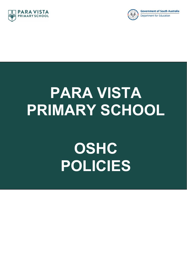



# **PARA VISTA PRIMARY SCHOOL**

# **OSHC POLICIES**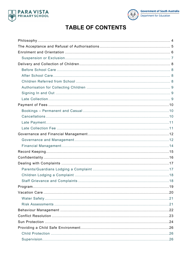



# **TABLE OF CONTENTS**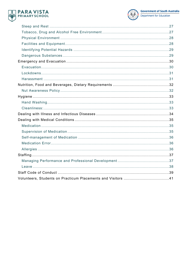



Department for Education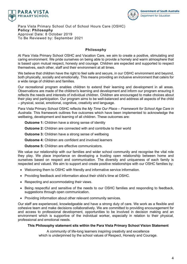



Para Vista Primary School Out of School Hours Care (OSHC) **Policy: Philosophy** Approval Date: 8 October 2019 To Be Reviewed by: September 2021

# **Philosophy**

At Para Vista Primary School OSHC and Vacation Care, we aim to create a positive, stimulating and caring environment. We pride ourselves on being able to provide a homely and warm atmosphere that is based upon mutual respect, honesty and courage. Children are expected and supported to respect themselves, each other, staff and their environment at all times.

We believe that children have the right to feel safe and secure, in our OSHC environment and beyond, both physically, socially and emotionally. This means providing an inclusive environment that caters for a wide range of children and families.

Our recreational program enables children to extend their learning and development in all areas. Observations are made of the children's learning and development and inform our program ensuring it reflects the needs and interests of individual children. Children are encouraged to make choices about their play and participation. Our program aims to be well-balanced and address all aspects of the child – physical, social, emotional, cognitive, creativity and language.

Para Vista Primary School OSHC reflects the *My Time Our Place – Framework for School Age Care in Australia*. This framework outlines five outcomes which have been implemented to acknowledge the wellbeing, development and learning of all children. These outcomes are:

**Outcome 1:** Children have a strong sense of identity

**Outcome 2:** Children are connected with and contribute to their world

**Outcome 3:** Children have a strong sense of wellbeing

**Outcome 4:** Children are confident and involved learners

**Outcome 5:** Children are effective communicators.

We value our relationship with our families and wider school community and recognise the vital role they play. We place importance on developing a trusting open relationship between home and ourselves based on respect and communication. The diversity and uniqueness of each family is respected and valued. We aim to support and create positive relationships with our OSHC families by:

- Welcoming them to OSHC with friendly and informative service information.
- Providing feedback and information about their child's time at OSHC.
- Respecting and accommodating their views.
- Being respectful and sensitive of the needs to our OSHC families and responding to feedback, suggestions through open communication.
- Providing information about other relevant community services.

Our staff are experienced, knowledgeable and have a strong duty of care. We work as a flexible and cohesive team and make decisions collaboratively. We are committed to providing encouragement for and access to professional development, opportunities to be involved in decision making and an environment which is supportive of the individual worker, especially in relation to their physical, professional and emotional needs.

#### **This Philosophy statement sits within the Para Vista Primary School Vision Statement**

A community of life-long learners inspiring creativity and excellence which is underpinned by the school values of Respect, Honesty and Courage.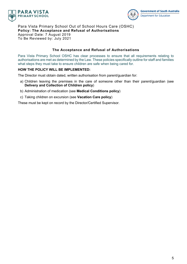



Para Vista Primary School Out of School Hours Care (OSHC) **Policy: The Acceptance and Refusal of Authorisations** Approval Date: 7 August 2019 To Be Reviewed by: July 2021

# **The Acceptance and Refusal of Authorisations**

Para Vista Primary School OSHC has clear processes to ensure that all requirements relating to authorisations are met as determined by the Law. These policies specifically outline for staff and families what steps they must take to ensure children are safe when being cared for.

# **HOW THE POLICY WILL BE IMPLEMENTED:**

The Director must obtain dated, written authorisation from parent/guardian for:

- a) Children leaving the premises in the care of someone other than their parent/guardian (see **Delivery and Collection of Children policy**)
- b) Administration of medication (see **Medical Conditions policy**)
- c) Taking children on excursion (see **Vacation Care policy**)

These must be kept on record by the Director/Certified Supervisor.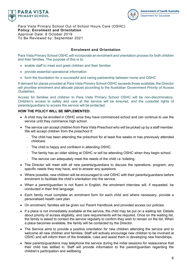



Para Vista Primary School Out of School Hours Care (OSHC) **Policy: Enrolment and Orientation** Approval Date: 8 October 2019 To Be Reviewed by: September 2021

# **Enrolment and Orientation**

Para Vista Primary School OSHC will incorporate an enrolment and orientation process for both children and their families. The purpose of this is to:

- enable staff to meet and greet children and their families
- provide essential operational information
- form the foundation for a successful and caring partnership between home and OSHC

If demand for places provided at Para Vista Primary School OSHC exceeds those available, the Director will prioritise enrolment and allocate places according to the Australian Government *Priority of Access Guidelines*.

Access for families and children to Para Vista Primary School OSHC will be non-discriminatory. Children's access to safety and care at the service will be ensured, and the custodial rights of parents/guardians to access the service will be protected.

# **HOW THE POLICY WILL BE IMPLEMENTED:**

- A child may be enrolled in OSHC once they have commenced school and can continue to use the service until they commence high school.
- The service can accept children from Para Vista Preschool who will be picked up by a staff member. We will accept children from the preschool if:
	- The child has been attending the preschool for at least five weeks or has previously attended childcare.
	- The child is happy and confident in attending OSHC.
	- The family has an older sibling at OSHC or will be attending OSHC when they begin school.
	- The service can adequately meet the needs of the child i.e. toileting.
- The Director will meet with all new parents/guardians to discuss the operations, program, any specific needs they may have, and to answer any questions.
- Where possible, new children will be encouraged to visit OSHC with their parents/guardians before enrolment to facilitate the child's orientation into the service.
- When a parent/guardian is not fluent in English, the enrolment interview will, if requested, be conducted in their first language.
- Each family must complete an enrolment form for each child and where necessary, provide a personalised health care plan.
- On enrolment, families will be given our Parent Handbook and provided access our policies.
- If a place is not immediately available at the service, the child may be put on a waiting list. Details about priority of access eligibility, and care requirements will be required. Once on the waiting list, the family is asked to contact the service regularly to confirm they wish to remain on the list. When a place becomes available, the family will be contacted by the Director.
- The Service aims to provide a positive orientation for new children attending the service and to welcome all new children and families. Staff will actively encourage new children to be involved at OSHC and will inform them of the timetable, rules and assist them in developing new friendships.
- New parents/guardians may telephone the service during the initial sessions for reassurance that their child has settled in. Staff will provide information to the parent/guardian regarding the children's participation and wellbeing.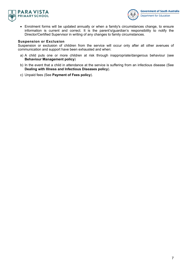



• Enrolment forms will be updated annually or when a family's circumstances change, to ensure information is current and correct. It is the parent's/guardian's responsibility to notify the Director/Certified Supervisor in writing of any changes to family circumstances.

#### **Suspension or Exclusion**

Suspension or exclusion of children from the service will occur only after all other avenues of communication and support have been exhausted and when:

- a) A child puts one or more children at risk through inappropriate/dangerous behaviour (see **Behaviour Management policy**)
- b) In the event that a child in attendance at the service is suffering from an infectious disease (See **Dealing with Illness and Infectious Diseases policy**).
- c) Unpaid fees (See **Payment of Fees policy**).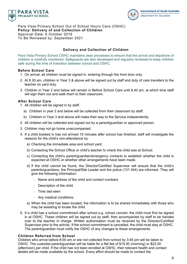



Para Vista Primary School Out of School Hours Care (OSHC) **Policy: Delivery of and Collection of Children** Approval Date: 8 October 2019 To Be Reviewed by: September 2021

#### **Delivery and Collection of Children**

Para Vista Primary School OSHC maintains clear processes to ensure that the arrival and departure of children is carefully monitored. Safeguards are also developed and regularly reviewed to keep children safe during the time of transition between school and OSHC.

#### **Before School Care**

- 1. On arrival, all children must be signed in, entering through the front door only.
- 2. At 8.30 am, children in Year 3 & above will be signed out by staff and duty of care transfers to the teacher on yard duty.
- 3. Children in Year 2 and below will remain in Before School Care until 8.40 am, at which time staff will sign them out and walk them to their classroom.

# **After School Care**

- 1. All children will be signed in by staff.
	- a) Children in year 2 and below will be collected from their classroom by staff.
	- b) Children in Year 3 and above will make their way to the Service independently.
- 2. All children will be collected and signed out by a parent/guardian or approved person.
- 3. Children may not go home unaccompanied.
- 4. If a child booked in has not arrived 15 minutes after school has finished, staff will investigate the reasons for the child's non-attendance by:
	- a) Checking the immediate area and school yard.
	- b) Contacting the School Office or child's teacher to check the child was at School.
	- c) Contacting the child's parent/guardian/emergency contacts to establish whether the child is expected at OSHC or whether other arrangements have been made.
	- d) If the child cannot be found, the Director/Certified Supervisor will ensure that the child's parents/guardians, the Principal/Site Leader and the police (131 444) are informed. They will give the following information:
		- Name and address of the child and contact numbers
		- Description of the child
		- Time last seen
		- Any medical conditions.
	- e) When the child has been located, the information is to be shared immediately with those who may be assisting to locate the child.
- 5. If a child has a school commitment after school e.g. school concert, the child must first be signed in at OSHC. These children will be signed out by staff, then accompanied by staff to be handed over to the teacher in charge. Written authorisation must be received by the Director/Certified Supervisor prior to the activity. If the school commitment is cancelled, the child must stay at OSHC. The parent/guardian must notify the OSHC of any changes to these arrangements.

# **Children Referred from School**

Children who arrive before 8:00 am or are not collected from school by 3:45 pm will be taken to OSHC. The custodial parent/guardian will be liable for a flat fee of \$15.00 (morning) or \$22.00 (afternoon) per child. If the child has not been enrolled at OSHC, their relevant health and contact details will be made available by the school. Every effort should be made to contact the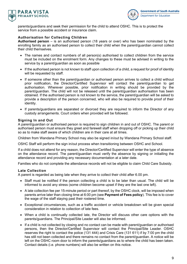



parents/guardians and seek their permission for the child to attend OSHC. This is to protect the service from a possible accident or insurance claim.

# **Authorisation for Collecting Children**

**Authorised person** – is an authorised person (18 years or over) who has been nominated by the enrolling family as an authorised person to collect their child when the parent/guardian cannot collect their child themselves.

- The names and contact numbers of all person(s) authorised to collect children from the service must be included on the enrolment form. Any changes to these must be advised in writing to the service by a parent/guardian as soon as possible
- If the authorised person is not known to staff upon collection of a child, a request for proof of identity will be requested by staff.
- If someone other than the parent/guardian or authorised person arrives to collect a child without prior notification, the Director/Certified Supervisor will contact the parent/guardian to get authorisation. Wherever possible, prior notification in writing should be provided by the parent/guardian. The child will not be released until the parent/guardian authorisation has been obtained. If the authorised person is not known to the service, the parent/guardian will be asked to provide a description of the person concerned, who will also be required to provide proof of their identity.
- If parents/guardians are separated or divorced they are required to inform the Director of any custody arrangements. Court orders when provided will be followed.

#### **Signing In and Out**

A parent/guardian or authorised person is required to sign children in and out of OSHC. The parent or authorised person must ensure they greet and farewell staff when dropping off or picking up their child so as to make staff aware of which children are in their care at all times.

Children from Wandana Primary School may also be signed in/out by Wandana Primary School staff.

OSHC Staff will perform the sign in/out process when transitioning between OSHC and School.

If a child does not attend for any reason, the Director/Certified Supervisor will enter the type of absence on the attendance record. The parent/guardian must verify the absence by signing or initialling the attendance record and providing any necessary documentation at a later date.

Families who do not complete the attendance records will not be eligible to claim Child Care Subsidy.

#### **Late Collection**

A parent is regarded as being late when they arrive to collect their child after 6.00 pm.

- Staff must be notified if the person collecting a child is to be later than usual. The child will be informed to avoid any stress (some children become upset if they are the last one left).
- A late collection fee per 15-minute period or part thereof, by the OSHC clock, will be imposed when parents arrive later than closing time at 6:00 pm (see **Payment of Fees policy**). This fee is to cover the wage of the staff staying past their rostered time.
- Exceptional circumstances, such as a traffic accident or vehicle breakdown will be given special consideration in relation to collection of late fees.
- When a child is continually collected late, the Director will discuss other care options with the parents/guardians. The Principal/Site Leader will also be informed.
- If a child is not collected by closing and no contact can be made with parent/guardian or authorised persons, then the Director/Certified Supervisor will contact the Principal/Site Leader. OSHC reserves the right to contact the police (131 444) and Crisis Care (131 611) if by 7:00 pm the child has still not been collected and there remains no contact from the parent/guardian. A notice will be left on the OSHC room door to inform the parents/guardians as to where the child has been taken. Contact details (i.e. phone numbers) will also be written on this notice.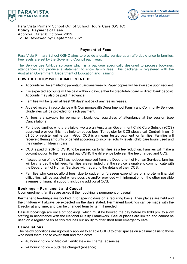



Para Vista Primary School Out of School Hours Care (OSHC) **Policy: Payment of Fees** Approval Date: 8 October 2019 To Be Reviewed by: September 2021

#### **Payment of Fees**

Para Vista Primary School OSHC aims to provide a quality service at an affordable price to families. Fee levels are set by the Governing Council each year.

The Service use Qikkids software which is a package specifically designed to process bookings, attendances and produce a statement to show family fees. This package is registered with the Australian Government, Department of Education and Training.

#### **HOW THE POLICY WILL BE IMPLEMENTED:**

- Accounts will be emailed to parents/guardians weekly. Paper copies will be available upon request.
- It is expected accounts will be paid within 7 days, either by credit/debit card or direct bank deposit. Accounts may also be paid in advance.
- Families will be given at least 30 days' notice of any fee increases.
- A dated receipt in accordance with Commonwealth Department of Family and Community Services Guidelines will be provided for each payment.
- All fees are payable for permanent bookings, regardless of attendance at the session (see Cancellations)
- For those families who are eligible, we are an Australian Government Child Care Subsidy (CCS) approved provider, this may help to reduce fees. To register for CCS please call Centrelink on 13 61 50 or register online via myGov. CCS is a means tested payment for families. Families will receive differing amounts of benefit according to income, activity levels, child care hours used and the number children in care.
- CCS is paid directly to OSHC to be passed on to families as a fee reduction. Families will make a co-contribution to their fees and pay OSHC the difference between the fee charged and CCS.
- If acceptance of the CCS has not been received from the Department of Human Services, families will be charged the full fees. Families are reminded that the service is unable to communicate with the Department of Human Services with regard to the details of their CCS.
- Families who cannot afford fees, due to sudden unforeseen expenditure or short-term financial difficulties, will be assisted where possible and/or provided with information on the other possible avenues of financial support, including additional CCS.

#### **Bookings – Permanent and Casual**

Upon enrolment families are asked if their booking is permanent or casual.

**Permanent bookings** are booked in for specific days on a recurring basis. Their places are held and the child/ren will always be expected on the days stated. Permanent bookings can be made with the Director at any time, and can be changed term by term if needed.

**Casual bookings** are once off bookings, which must be booked the day before by 6:00 pm, to allow staffing in accordance with the National Quality Framework. Casual places are limited and cannot be used on a regular basis as this reduces our ability to offer short term emergency care.

#### **Cancellations**

The below conditions are rigorously applied to enable OSHC to offer spaces on a casual basis to those who need them and to cover staff and food costs.

- 48 hours' notice or Medical Certificate no charge (absence)
- 24 hours' notice 50% fee charged (absence)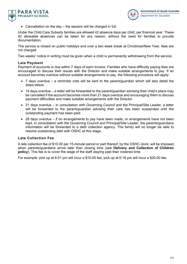



• Cancellation on the day – the session will be charged in full.

Under the Child Care Subsidy families are allowed 42 absence days per child, per financial year. These 42 allowable absences can be taken for any reason, without the need for families to provide documentation.

The service is closed on public holidays and over a two week break at Christmas/New Year, fees are not charged.

Two weeks' notice in writing must be given when a child is permanently withdrawing from the service.

#### **Late Payment**

Payment of accounts is due within 7 days of each invoice. Families who have difficulty paying fees are encouraged to discuss their issues with the Director and make suitable arrangements to pay. If an account becomes overdue without suitable arrangements to pay, the following procedure will apply:

- 7 days overdue a reminder note will be sent to the parent/guardian which will also detail the steps below.
- 14 days overdue a letter will be forwarded to the parent/guardian advising their child's place may be cancelled if the account becomes more than 21 days overdue and encouraging them to discuss payment difficulties and make suitable arrangements with the Director.
- 21 days overdue in consultation with Governing Council and the Principal/Site Leader, a letter will be forwarded to the parent/guardian advising their care has been suspended until the outstanding payment has been paid.
- 28 days overdue if no arrangements to pay have been made, or arrangements have not been kept, in consultation with the Governing Council and Principal/Site Leader, the parents/guardians information will be forwarded to a debt collection agency. The family will no longer be able to resolve outstanding debt with OSHC at this stage.

#### **Late Collection Fee**

A late collection fee of \$10.00 per 15-minute period or part thereof, by the OSHC clock, will be imposed when parents/guardians arrive later than closing time (see **Delivery and Collection of Children policy**). This fee is to cover the wage of the staff staying past their rostered time.

For example: pick up at 6:01 pm will incur a \$10.00 fee, pick up at 6:16 pm will incur a \$20.00 fee.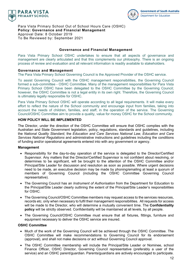



Para Vista Primary School Out of School Hours Care (OSHC) **Policy: Governance and Financial Management** Approval Date: 8 October 2019 To Be Reviewed by: September 2021

#### **Governance and Financial Management**

Para Vista Primary School OSHC undertakes to ensure that all aspects of governance and management are clearly articulated and that this complements our philosophy. There is an ongoing process of review and evaluation and all relevant information is readily available to stakeholders.

#### **Governance and Management**

The Para Vista Primary School Governing Council is the Approved Provider of the OSHC service.

To assist Governing Council with the OSHC management responsibilities, the Governing Council formed a sub-committee - OSHC Committee. Many of the management responsibilities for Para Vista Primary School OSHC have been delegated to the OSHC Committee by the Governing Council; however, the OSHC Committee is not a legal entity in its own right. Therefore, the Governing Council is ultimately legally responsible for OSHC.

Para Vista Primary School OSHC will operate according to all legal requirements. It will make every effort to reflect the nature of the School community and encourage input from families, taking into account the needs of children, families, and staff, in the operation of the service. The Governing Council/OSHC Committee aim to provide a quality, value for money OSHC for the School community.

#### **HOW POLICY WILL BE IMPLEMENTED**

The Director, under the direction of the OSHC Committee will ensure that OSHC complies with the Australian and State Government legislation, policy, regulations, standards and guidelines, including the *National Quality Standard*, the *Education and Care Services National Law*, *Education and Care Services National Regulations* and administrative instructions and guidelines including the conditions of funding and/or operational agreements entered into with any government or agency.

#### **Management**

- Responsibility for the day-to-day operation of the service is delegated to the Director/Certified Supervisor. Any matters that the Director/Certified Supervisor is not confident about resolving, or determines to be significant, will be brought to the attention of the OSHC Committee and/or Principal/Site Leader for discussion and resolution as soon as possible. Where urgent decisions need to be made, an executive decision may be made by phoning/emailing at least a quorum of members of Governing Council (including the OSHC Committee Governing Council representative).
- The Governing Council has an *Instrument of Authorisation* from the Department for Education to the Principal/Site Leader clearly outlining the extent of the Principal/Site Leader's responsibilities for OSHC.
- The Governing Council/OSHC Committee members may request access to the services resources, records etc. only when necessary to fulfil their management responsibilities. All requests for access will be made to the Director, who will determine a mutually convenient time. The **Confidentiality policy** will be strictly observed. Confidentiality will be maintained at all levels, by all people.
- The Governing Council/OSHC Committee must ensure that all fixtures, fittings, furniture and equipment necessary to deliver the OSHC service are insured.

#### **OSHC Committee**

- Much of the work of the Governing Council will be achieved through the OSHC Committee. The OSHC Committee will make recommendations to Governing Council for its endorsement (approval), and shall not make decisions or act without Governing Council approval.
- The OSHC Committee membership will include the Principal/Site Leader or Nominee, school Finance Officer, OSHC Director, Governing Council representative (preferably a user of the service) and an OSHC parent/guardian. Parents/guardians are actively encouraged to participate.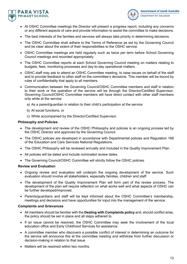



- At OSHC Committee meetings the Director will present a progress report, including any concerns or any different aspects of care and provide information to assist the committee to make decisions.
- The best interests of the families and services will always take priority in determining decisions.
- The OSHC Committee shall adhere to the Terms of Reference as set by the Governing Council and be clear about the extent of their responsibilities to the OSHC service.
- OSHC Committee meetings are held regularly such as twice per term before School Governing Council meetings and recorded appropriately.
- The OSHC Committee reports at each School Governing Council meeting on matters relating to budgets, fees, monitoring processes and day-to-day operational matters.
- OSHC staff may ask to attend an OSHC Committee meeting, to raise issues on behalf of the staff and to provide feedback to other staff on the committee's decisions. This member will be bound by rules of confidentiality that apply to all members.
- Communication between the Governing Council/OSHC Committee members and staff in relation to their work or the operation of the service will be through the Director/Certified Supervisor. Governing Council/OSHC Committee members will have direct contact with other staff members only while at the service:
	- a) As a parent/guardian in relation to their child's participation at the service
	- b) At social functions, or
	- c) While accompanied by the Director/Certified Supervisor.

#### **Philosophy and Policies**

- The development and review of the OSHC Philosophy and policies is an ongoing process led by the OSHC Director and approved by the Governing Council.
- The OSHC policies are developed in accordance with Departmental policies and Regulation 168 of the Education and Care Services National Regulations.
- The OSHC Philosophy will be reviewed annually and included in the Quality Improvement Plan.
- All policies will be dated and include nominated review dates.
- The Governing Council/OSHC Committee will strictly follow the OSHC policies.

#### **Review and Evaluation**

- Ongoing review and evaluation will underpin the ongoing development of the service. Such evaluation should involve all stakeholders, especially families, children and staff.
- The development of the Quality Improvement Plan will form part of the review process. The development of the plan will require reflection on what works well and what aspects of OSHC can be further developed/improved.
- Parents/guardians and staff will be kept informed about the OSHC Committee's membership, meetings and decisions and have opportunities for input into the management of the service.

#### **Complaints and Grievances**

- All members should be familiar with the **Dealing with Complaints policy** and, should conflict arise, the policy should be set in place and all steps adhered to.
- If an issue cannot be resolved, the OSHC Committee may seek the involvement of the local education office and Early Childhood Services for assistance.
- A committee member who discovers a possible conflict of interest in determining an outcome for the service will announce this at the committee meeting and withdraw from further discussion or decision-making in relation to that issue
- Matters will be resolved within two months.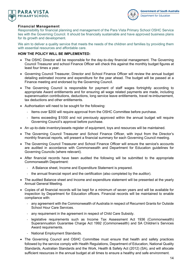



# **Financial Management**

Responsibility for financial planning and management of the Para Vista Primary School OSHC Service lies with the Governing Council. It should be financially sustainable and have approved business plans for its growth and development.

We aim to deliver a quality service that meets the needs of the children and families by providing them with essential resources and affordable care.

#### **HOW THE POLICY WILL BE IMPLEMENTED:**

- The OSHC Director will be responsible for the day-to-day financial management. The Governing Council Treasurer and school Finance Officer will check this against the monthly budget figures at least four times a year.
- Governing Council Treasurer, Director and School Finance Officer will review the annual budget detailing estimated income and expenditure for the year ahead. The budget will be passed at a Finance meeting and endorsed by the Governing Council.
- The Governing Council is responsible for payment of staff wages fortnightly according to appropriate Award entitlements and for ensuring all wage related payments are made, including superannuation contributions, deductions, long service leave entitlements, travel re-imbursement, tax deductions and other entitlements.
- Authorisation will need to be sought for the following:
	- Items over \$200 will require approval from the OSHC Committee before purchase.
	- Items exceeding \$1000 and not previously approved within the annual budget will require Governing Council's approval before purchase.
- An up-to-date inventory/assets register of equipment, toys and resources will be maintained.
- The Governing Council Treasurer and School Finance Officer, with input from the Director's monthly financial reports, will present a financial summary for each Governing Council meeting.
- The Governing Council Treasurer and School Finance Officer will ensure the service's accounts are audited in accordance with Commonwealth and Department for Education guidelines for Governing Councils (where relevant).
- After financial records have been audited the following will be submitted to the appropriate Commonwealth Department:
	- A Balance sheet, Income and Expenditure Statement is prepared.
	- the annual financial report and the certification (also completed by the auditor).
- The audited Balance sheet and Income and expenditure statement will be presented at the yearly Annual General Meeting.
- Copies of all financial records will be kept for a minimum of seven years and will be available for inspection by Department for Education officers. Financial records will be maintained to enable compliance with:
	- any agreement with the Commonwealth of Australia in respect of Recurrent Grants for Outside School Hour Care Services.
	- any requirement in the agreement in respect of Child Care Subsidy.
	- legislative requirements such as Income Tax Assessment Act 1936 (Commonwealth) Superannuation Guarantee Charge Act 1992 (Commonwealth) and SA Children's Services Award requirements.
	- National Employment Standards.
- The Governing Council and OSHC Committee must ensure that health and safety practices followed by the service comply with Health Regulations, Department of Education, National Quality Standards, Australian Standards and the Work, Health & Safety Act (2012) (SA), and will allocate sufficient resources in the annual budget at all times to ensure a healthy and safe environment.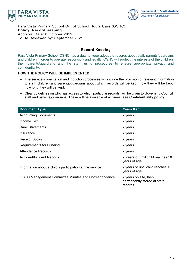



Para Vista Primary School Out of School Hours Care (OSHC) **Policy: Record Keeping** Approval Date: 8 October 2019 To Be Reviewed by: September 2021

# **Record Keeping**

Para Vista Primary School OSHC has a duty to keep adequate records about staff, parents/guardians and children in order to operate responsibly and legally. OSHC will protect the interests of the children, their parents/guardians and the staff, using procedures to ensure appropriate privacy and confidentiality.

# **HOW THE POLICY WILL BE IMPLEMENTED:**

- The service's orientation and induction processes will include the provision of relevant information to staff, children and parents/guardians about which records will be kept, how they will be kept, how long they will be kept.
- Clear guidelines on who has access to which particular records, will be given to Governing Council, staff and parents/guardians. These will be available at all times (see **Confidentiality policy**)

| <b>Document Type</b>                                     | <b>Years Kept</b>                                               |
|----------------------------------------------------------|-----------------------------------------------------------------|
| <b>Accounting Documents</b>                              | 7 years                                                         |
| Income Tax                                               | 7 years                                                         |
| <b>Bank Statements</b>                                   | 7 years                                                         |
| Insurance                                                | 7 years                                                         |
| <b>Receipt Books</b>                                     | 7 years                                                         |
| <b>Requirements for Funding</b>                          | 7 years                                                         |
| Attendance Records                                       | 7 years                                                         |
| <b>Accident/Incident Reports</b>                         | 7 Years or until child reaches 18<br>years of age               |
| Information about a child's participation at the service | 7 years or until child reaches 18<br>years of age               |
| OSHC Management Committee Minutes and Correspondence     | 7 years on site, then<br>permanently stored at state<br>records |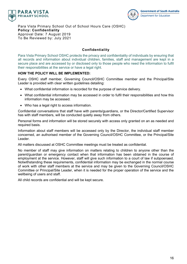



Para Vista Primary School Out of School Hours Care (OSHC) **Policy: Confidentiality** Approval Date: 7 August 2019 To Be Reviewed by: July 2021

# **Confidentiality**

Para Vista Primary School OSHC protects the privacy and confidentiality of individuals by ensuring that all records and information about individual children, families, staff and management are kept in a secure place and are accessed by or disclosed only to those people who need the information to fulfil their responsibilities at the service or have a legal right.

# **HOW THE POLICY WILL BE IMPLEMENTED:**

Every OSHC staff member, Governing Council/OSHC Committee member and the Principal/Site Leader is provided with clear written guidelines detailing:

- What confidential information is recorded for the purpose of service delivery.
- What confidential information may be accessed in order to fulfil their responsibilities and how this information may be accessed.
- Who has a legal right to access information.

Confidential conversations that staff have with parents/guardians, or the Director/Certified Supervisor has with staff members, will be conducted quietly away from others.

Personal forms and information will be stored securely with access only granted on an as needed and required basis.

Information about staff members will be accessed only by the Director, the individual staff member concerned, an authorised member of the Governing Council/OSHC Committee, or the Principal/Site Leader.

All matters discussed at OSHC Committee meetings must be treated as confidential.

No member of staff may give information on matters relating to children to anyone other than the parent/guardian or emergency contact when that information has been obtained in the course of employment at the service. However, staff will give such information to a court of law if subpoenaed. Notwithstanding these requirements, confidential information may be exchanged in the normal course of work with other staff members at the service and may be given to the Governing Council/OSHC Committee or Principal/Site Leader, when it is needed for the proper operation of the service and the wellbeing of users and staff.

All child records are confidential and will be kept secure.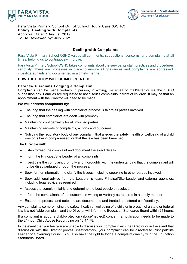



Para Vista Primary School Out of School Hours Care (OSHC) **Policy: Dealing with Complaints** Approval Date: 7 August 2019 To Be Reviewed by: July 2021

# **Dealing with Complaints**

Para Vista Primary School OSHC values all comments, suggestions, concerns, and complaints at all times; helping us to continuously improve.

Para Vista Primary School OSHC takes complaints about the service, its staff, practices and procedures seriously. There are processes in place to ensure all grievances and complaints are addressed, investigated fairly and documented in a timely manner.

#### **HOW THE POLICY WILL BE IMPLEMENTED:**

#### **Parents/Guardians Lodging a Complaint**

Complaints can be made verbally in person, in writing, via email or mail/letter or via the OSHC suggestion box. Families are requested to not discuss complaints in front of children. It may be that an appointment with the Director will need to be made.

#### **We will address complaints by:**

- Ensuring that the dealing with complaints process is fair to all parties involved.
- Ensuring that complaints are dealt with promptly.
- Maintaining confidentiality for all involved parties.
- Maintaining records of complaints, actions and outcomes.
- Notifying the regulatory body of any complaint that alleges the safety, health or wellbeing of a child was or is being compromised, or that the law has been breached.

#### **The Director will:**

- Listen to/read the complaint and document the exact details.
- Inform the Principal/Site Leader of all complaints.
- Investigate the complaint promptly and thoroughly with the understanding that the complainant will not be disadvantaged through the process.
- Seek further information, to clarify the issues, including speaking to other parties involved.
- Seek additional advice from the Leadership team, Principal/Site Leader and external agencies, including legal advice as required.
- Assess the complaint fairly and determine the best possible resolution.
- Inform the complainant of the outcome in writing or verbally as required in a timely manner.
- Ensure the process and outcome are documented and treated and stored confidentially.

Any complaints compromising the safety, health or wellbeing of a child or in breach of a state or federal law is a notifiable complaint and the Director will inform the Education Standards Board within 24 hours.

If a complaint is about a child-protection (abuse/neglect) concern, a notification needs to be made to the 24-hour Child Abuse Report Line on 13 14 78.

In the event that you feel you are unable to discuss your complaint with the Director or in the event that discussion with the Director proves unsatisfactory, your complaint can be directed to Principal/Site Leader or Governing Council. You also have the right to lodge a complaint directly with the Education Standards Board.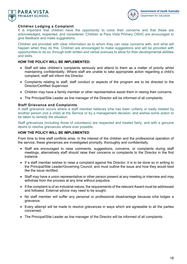



# **Children Lodging a Complaint**

It is important that children have the opportunity to voice their concerns and that these are acknowledged, respected, and considered. Children at Para Vista Primary OSHC are encouraged to give feedback and make suggestions.

Children are provided with clear information as to whom they can raise concerns with, and what will happen when they do this. Children are encouraged to make suggestions and will be provided with opportunities to do so, through both written and verbal avenues to allow for their developmental abilities and skills.

#### **HOW THE POLICY WILL BE IMPLEMENTED:**

- Staff will take children's complaints seriously and attend to them as a matter of priority whilst maintaining confidentiality. Where staff are unable to take appropriate action regarding a child's complaint, staff will inform the Director.
- Complaints relating to staff, staff conduct or aspects of the program are to be directed to the Director/Certified Supervisor.
- Children may have a family member or other representative assist them in raising their concerns.
- The Principal/Site Leader as line manager of the Director will be informed of all complaints.

#### **Staff Grievance and Complaints**

A staff grievance occurs where a staff member believes s/he has been unfairly or badly treated by another person (not a child) at the Service or by a management decision, and wishes some action to be taken to remedy the situation.

Staff grievances (including those of volunteers) are respected and treated fairly, and with a genuine desire to resolve grievances where ever possible.

# **HOW THE POLICY WILL BE IMPLEMENTED**

From time to time staff conflicts arise. In the interest of the children and the professional operation of the service, these grievances are investigated promptly, thoroughly and confidentially.

- Staff are encouraged to raise comments, suggestions, concerns, or complaints during staff meetings, alternatively staff should raise their concerns or complaints to the Director in the first instance.
- If a staff member wishes to raise a complaint against the Director, it is to be done so in writing to the Principal/Site Leader/Governing Council, and must outline the issue and how they would best like the issue rectified.
- Staff may have a union representative or other person present at any meeting or interview and may withdraw from the process at any time without prejudice.
- If the complaint is of an industrial nature, the requirements of the relevant Award must be addressed and followed. External advice may need to be sought.
- No staff member will suffer any personal or professional disadvantage because s/he lodges a grievance.
- Every attempt will be made to resolve grievances in ways which are agreeable to all the parties concerned.
- The Principal/Site Leader as line manager of the Director will be informed of all complaints.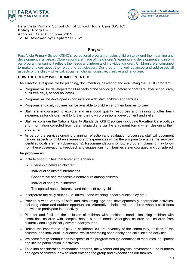



Para Vista Primary School Out of School Hours Care (OSHC) **Policy: Program** Approval Date: 8 October 2019 To Be Reviewed by: September 2021

# **Program**

Para Vista Primary School OSHC's recreational program enables children to extend their learning and development in all areas. Observations are made of the children's learning and development and inform our program, ensuring it reflects the needs and interests of individual children. Children are encouraged to make choices about their play and participation. Our program is well-balanced and addresses all aspects of the child – physical, social, emotional, cognitive, creative and language.

# **HOW THE POLICY WILL BE IMPLEMENTED:**

The Director is responsible for planning, documenting, delivering and evaluating the OSHC program.

- Programs will be developed for all aspects of the service (i.e. before school care, after school care, pupil free days, school holidays).
- Programs will be developed in consultation with staff, children and families.
- Programs and daily routines will be available to children and their families to view.
- Staff are encouraged to explore and use good quality resources and training to offer fresh experiences for children and to further their own professional development and skills.
- Staff will consider the National Quality Standards, OSHC policies (including **Vacation Care policy**) and information collected from parents/guardians via the enrolment forms when designing their programs.
- As part of the services ongoing planning, reflection and evaluation processes, staff will document various aspects of children's learning and experiences within the program to ensure the services' identified goals are met (observations). Recommendations for future program planning may follow from these observations. Feedback and suggestions from families are encouraged and considered.

#### **The program will:**

- Include opportunities that foster and enhance:
	- Friendship between children
	- Individual child/staff interactions
	- Cooperative and responsible behaviours among children
	- Individual and group interests
	- The special needs, interests and talents of every child.
- Incorporate the daily routine (i.e. arrival, hand washing, snacks/drinks, play etc.).
- Provide a wide variety of safe and stimulating age and developmentally appropriate activities, including indoor and outdoor opportunities. Alternative choices will be offered when a child does not wish to participate in an activity.
- Plan for and facilitate the inclusion of children with additional needs, including children with disabilities, children with complex health support needs, Aboriginal children and children from culturally and linguistically diverse backgrounds.
- Reflect the importance of play in childhood, cultural diversity of the community, abilities of the children, and individual uniqueness, whilst embracing spontaneity and child initiated activities.
- Welcome family contributions to aspects of the program through donations of resources, equipment and invited participation in activities.
- Take into consideration attendance patterns, the weather and physical environment, the numbers and ages of children, new children entering the group and expectations our families.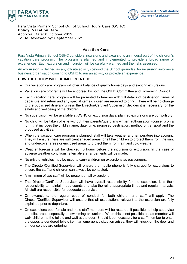



Para Vista Primary School Out of School Hours Care (OSHC) **Policy: Vacation Care** Approval Date: 8 October 2019 To Be Reviewed by: September 2021

# **Vacation Care**

Para Vista Primary School OSHC considers incursions and excursions an integral part of the children's vacation care program. The program is planned and implemented to provide a broad range of experiences. Each excursion and incursion will be carefully planned and the risks assessed.

An **excursion** is defined as any off-site activity (beyond the School grounds). An **incursion** involves a business/organisation coming to OSHC to run an activity or provide an experience.

#### **HOW THE POLICY WILL BE IMPLEMENTED:**

- Our vacation care program will offer a balance of quality home days and exciting excursions.
- Vacation care programs will be endorsed by both the OSHC Committee and Governing Council.
- Each vacation care program will be promoted to families with full details of destination, times of departure and return and any special items children are required to bring. There will be no change to the publicised itinerary unless the Director/Certified Supervisor decides it is necessary for the safety and wellbeing of the children.
- No supervision will be available at OSHC on excursion days, planned excursions are compulsory.
- No child will be taken off-site without their parents/guardians written authorisation (consent) on a form that includes the child's name, date, time, proposed destination, method of transport and the proposed activities.
- When the vacation care program is planned, staff will take weather and temperature into account. They will ensure there are sufficient shaded areas for all the children to protect them from the sun, and undercover areas or enclosed areas to protect them from rain and cold weather.
- Weather forecasts will be checked 48 hours before the incursion or excursion. In the case of adverse weather conditions, alternative arrangements will be made.
- No private vehicles may be used to carry children on excursions as passengers.
- The Director/Certified Supervisor will ensure the mobile phone is fully charged for excursions to ensure the staff and children can always be contacted.
- A minimum of two staff will be present on all excursions.
- The Director/Certified Supervisor will have overall responsibility for the excursion. It is their responsibility to maintain head counts and take the roll at appropriate times and regular intervals. All staff are responsible for adequate supervision.
- On excursions, the regular code of conduct for both children and staff will apply. The Director/Certified Supervisor will ensure that all expectations relevant to the excursion are fully explained prior to departure.
- On excursions both female and male staff members will be rostered 'if possible' to help supervise the toilet areas, especially on swimming excursions. When this is not possible a staff member will walk children to the toilets and wait at the door. Should it be necessary for a staff member to enter the opposite gendered toilets i.e. if an emergency situation arises, they will knock on the door and announce they are entering.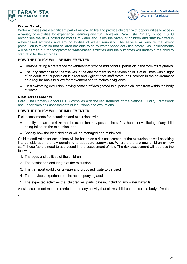



# **Water Safety**

Water activities are a significant part of Australian life and provide children with opportunities to access a variety of activities for experience, learning and fun. However, Para Vista Primary School OSHC recognises the risks posed by bodies of water and takes the safety of children and staff involved in water-based activities and around bodies of water seriously. The service will ensure that every precaution is taken so that children are able to enjoy water-based activities safely. Risk assessments will be carried out for programmed water-based activities and the outcomes will underpin the child to staff ratio for the activities.

# **HOW THE POLICY WILL BE IMPLEMENTED:**

- Demonstrating a preference for venues that provide additional supervision in the form of life guards.
- Ensuring staff position themselves in the environment so that every child is at all times within sight of an adult, that supervision is direct and vigilant; that staff rotate their position in the environment on a regular basis to allow for movement and to maintain vigilance.
- On a swimming excursion, having some staff designated to supervise children from within the body of water.

# **Risk Assessments**

.

Para Vista Primary School OSHC complies with the requirements of the National Quality Framework and undertakes risk assessments of incursions and excursions.

# **HOW THE POLICY WILL BE IMPLEMENTED:**

Risk assessments for incursions and excursions will:

- Identify and assess risks that the excursion may pose to the safety, health or wellbeing of any child being taken on the excursion; and
- Specify how the identified risks will be managed and minimised.

Child to staff ratios for excursions will be based on a risk assessment of the excursion as well as taking into consideration the law pertaining to adequate supervision. Where there are new children or new staff, these factors need to addressed in the assessment of risk. The risk assessment will address the following:

- 1. The ages and abilities of the children
- 2. The destination and length of the excursion
- 3. The transport (public or private) and proposed route to be used
- 4. The previous experience of the accompanying adults
- 5. The expected activities that children will participate in, including any water hazards.

A risk assessment must be carried out on any activity that allows children to access a body of water.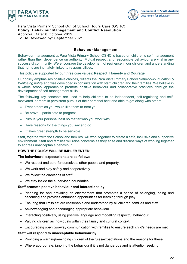



Para Vista Primary School Out of School Hours Care (OSHC) **Policy: Behaviour Management and Conflict Resolution** Approval Date: 8 October 2019 To Be Reviewed by: September 2021

#### **Behaviour Management**

Behaviour management at Para Vista Primary School OSHC is based on children's self-management rather than their dependence on authority. Mutual respect and responsible behaviour are vital in any successful community. We encourage the development of resilience in our children and understanding that rights are intimately linked to responsibilities.

This policy is supported by our three core values: **Respect**, **Honesty** and **Courage**.

Our policy emphasises positive choices, reflects the Para Vista Primary School *Behaviour Education & Wellbeing policy* and was developed in consultation with staff, children and their families. We believe in a whole school approach to promote positive behaviour and collaborative practices, through the development of self-management skills.

The following key concepts are used to help children to be independent, self-regulating and selfmotivated learners in persistent pursuit of their personal best and able to get along with others:

- Treat others as you would like them to treat you.
- Be brave participate to progress.
- Pursue your personal best no matter who you work with.
- Have reasons for the things you say and do.
- It takes great strength to be sensible.

Staff, together with the School and families, will work together to create a safe, inclusive and supportive environment. Staff and families will raise concerns as they arise and discuss ways of working together to address unacceptable behaviour.

#### **HOW THE POLICY WILL BE IMPLEMENTED:**

#### **The behavioural expectations are as follows:**

- We respect and care for ourselves, other people and property.
- We work and play safely and cooperatively.
- We follow the directions of staff.
- We stay inside the supervised boundaries.

#### **Staff promote positive behaviour and interactions by:**

- Planning for and providing an environment that promotes a sense of belonging, being and becoming and provides enhanced opportunities for learning through play.
- Ensuring that limits set are reasonable and understood by all children, families and staff.
- Acknowledging and encouraging appropriate behaviour.
- Interacting positively, using positive language and modelling respectful behaviour.
- Valuing children as individuals within their family and cultural context.
- Encouraging open two-way communication with families to ensure each child's needs are met.

#### **Staff will respond to unacceptable behaviour by:**

- Providing a warning/reminding children of the rules/expectations and the reasons for these.
- Where appropriate, ignoring the behaviour if it is not dangerous and is attention seeking.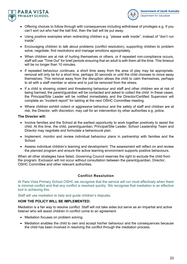



- Offering choices to follow through with consequences including withdrawal of privileges e.g. If you can't sort out who had the ball first, then the ball will be put away.
- Using positive examples when redirecting children e.g. "please walk inside", instead of "don't run inside".
- Encouraging children to talk about problems (conflict resolution), supporting children to problem solve, negotiate, find resolutions and manage emotions appropriately.
- When children are at risk of hurting themselves or others, or if repeated non-compliance occurs, staff will use "Time Out" for brief periods ensuring that an adult is with them all the time. This timeout will be no longer than 10 minutes.
- If repeated behaviour continues, a short time away from the area of play may be appropriate. removal will only be for a short time, perhaps 30 seconds or until the child chooses to move away themselves. This removal away from the disruption allows the child to calm themselves, perhaps to sit with a staff member or alone and to just be removed from the stress.
- If a child is showing violent and threatening behaviour and staff and other children are at risk of being harmed, the parent/guardian will be contacted and asked to collect the child. In these cases, the Principal/Site Leader will be notified immediately and the Director/Certified Supervisor will complete an "incident report" for tabling at the next OSHC Committee meeting.
- Where children exhibit violent or aggressive behaviour and the safety of staff and children are at risk, the Director, with discretion, may call for an intervention by other authorities e.g. police.

# **The Director will:**

- Involve families and the School at the earliest opportunity to work together positively to assist the child. At this time, the child, parent/guardian, Principal/Site Leader, School Leadership Team and Director may negotiate and formulate a behavioural plan.
- Implement, monitor and review individual behaviour plans in partnership with families and the School.
- Assess individual children's learning and development. The assessment will reflect on and review the planned program and ensure the active learning environment supports positive behaviours.

When all other strategies have failed, Governing Council reserves the right to exclude the child from the program. Exclusion will not occur without consultation between the parent/guardian, Director, OSHC Committee and other relevant authorities.

# **Conflict Resolution**

At Para Vista Primary School OSHC we recognise that the service will run most effectively when there is minimal conflict and that any conflict is resolved quickly. We recognise that mediation is an effective tool in achieving this.

Staff will use mediation to help and guide children's disputes.

#### **HOW THE POLICY WILL BE IMPLEMENTED:**

Mediation is a fair way to resolve conflict. Staff will not take sides but serve as an impartial and active listener who will assist children in conflict come to an agreement.

- Mediation focuses on problem solving.
- Mediation enables the child to own and accept his/her behaviour and the consequences because the child has been involved in resolving the conflict through the mediation process.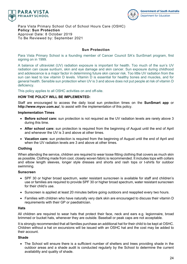



Para Vista Primary School Out of School Hours Care (OSHC) **Policy: Sun Protection** Approval Date: 8 October 2019 To Be Reviewed by: September 2021

# **Sun Protection**

Para Vista Primary School is a founding member of Cancer Council SA's SunSmart program, first signing on in 1999.

A balance of ultraviolet (UV) radiation exposure is important for health. Too much of the sun's UV radiation can cause sunburn, skin and eye damage and skin cancer. Sun exposure during childhood and adolescence is a major factor in determining future skin cancer risk. Too little UV radiation from the sun can lead to low vitamin D levels. Vitamin D is essential for healthy bones and muscles, and for general health. Sensible sun protection when UV is 3 and above does not put people at risk of vitamin D deficiency.

This policy applies to all OSHC activities on and off-site.

#### **HOW THE POLICY WILL BE IMPLEMENTED:**

Staff are encouraged to access the daily local sun protection times on the **SunSmart app** or **http://www.myuv.com.au/**, to assist with the implementation of this policy.

#### **Implementation Times**

- **Before school care:** sun protection is not required as the UV radiation levels are rarely above 3 during this time.
- **After school care:** sun protection is required from the beginning of August until the end of April and whenever the UV is 3 and above at other times.
- **Vacation care:** sun protection is required from the beginning of August until the end of April and when the UV radiation levels are 3 and above at other times.

#### **Clothing**

When attending the service, children are required to wear loose fitting clothing that covers as much skin as possible. Clothing made from cool, closely woven fabric is recommended. It includes tops with collars and elbow length sleeves, longer style dresses and shorts and rash tops or t-shirts for outdoor swimming.

#### **Sunscreen**

- SPF 30 or higher broad spectrum, water resistant sunscreen is available for staff and children's use or families are required to provide SPF 30 or higher broad spectrum, water resistant sunscreen for their child's use.
- Sunscreen is applied at least 20 minutes before going outdoors and reapplied every two hours.
- Families with children who have naturally very dark skin are encouraged to discuss their vitamin D requirements with their GP or paediatrician.

#### **Hats**

All children are required to wear hats that protect their face, neck and ears e.g. legionnaire, broad brimmed or bucket hats, whenever they are outside. Baseball or peak caps are not acceptable.

It is strongly recommended that all families purchase an additional hat for their child to be kept at OSHC. Children without a hat on excursions will be issued with an OSHC hat and the cost may be added to their account.

#### **Shade**

• The School will ensure there is a sufficient number of shelters and trees providing shade in the outdoor areas and a shade audit is conducted regularly by the School to determine the current availability and quality of shade.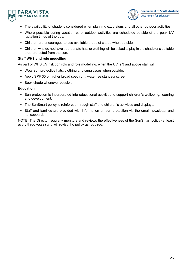



- The availability of shade is considered when planning excursions and all other outdoor activities.
- Where possible during vacation care, outdoor activities are scheduled outside of the peak UV radiation times of the day.
- Children are encouraged to use available areas of shade when outside.
- Children who do not have appropriate hats or clothing will be asked to play in the shade or a suitable area protected from the sun.

#### **Staff WHS and role modelling**

As part of WHS UV risk controls and role modelling, when the UV is 3 and above staff will:

- Wear sun protective hats, clothing and sunglasses when outside.
- Apply SPF 30 or higher broad spectrum, water resistant sunscreen.
- Seek shade whenever possible.

#### **Education**

- Sun protection is incorporated into educational activities to support children's wellbeing, learning and development.
- The SunSmart policy is reinforced through staff and children's activities and displays.
- Staff and families are provided with information on sun protection via the email newsletter and noticeboards.

NOTE: The Director regularly monitors and reviews the effectiveness of the SunSmart policy (at least every three years) and will revise the policy as required.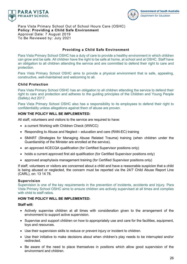



Para Vista Primary School Out of School Hours Care (OSHC) **Policy: Providing a Child Safe Environment** Approval Date: 7 August 2019 To Be Reviewed by: July 2021

#### **Providing a Child Safe Environment**

Para Vista Primary School OSHC has a duty of care to provide a healthy environment in which children can grow and be safe. All children have the right to be safe at home, at school and at OSHC. Staff have an obligation to all children attending the service and are committed to defend their right to care and protection.

Para Vista Primary School OSHC aims to provide a physical environment that is safe, appealing, constructive, well-maintained and welcoming to all.

#### **Child Protection**

Para Vista Primary School OSHC has an obligation to all children attending the service to defend their right to care and protection and adheres to the guiding principles of the Children and Young People (Safety) Act 2017.

Para Vista Primary School OSHC also has a responsibility to its employees to defend their right to confidentiality unless allegations against them of abuse are proven.

# **HOW THE POLICY WILL BE IMPLEMENTED:**

All staff, volunteers and visitors to the service are required to have:

- a current Working with Children Check (WWCC)
- Responding to Abuse and Neglect education and care (RAN-EC) training
- SMART (Strategies for Managing Abuse Related Trauma) training (when children under the Guardianship of the Minister are enrolled at the service).
- an approved ACECQA qualification (for Certified Supervisor positions only)
- holds a current approved first aid qualification (for Certified Supervisor positions only)
- approved anaphylaxis management training (for Certified Supervisor positions only)

If staff, volunteers or visitors are concerned about a child and have a reasonable suspicion that a child is being abused or neglected, the concern must be reported via the 24/7 Child Abuse Report Line (CARL), on: 13 14 78.

#### **Supervision**

Supervision is one of the key requirements in the prevention of incidents, accidents and injury. Para Vista Primary School OSHC aims to ensure children are actively supervised at all times and complies with child to staff ratios.

#### **HOW THE POLICY WILL BE IMPLEMENTED:**

#### **Staff will:**

- Actively supervise children at all times with consideration given to the arrangement of the environment to support active supervision.
- Supervise and support children on how to appropriately use and care for the facilities, equipment, toys and resources.
- Use their supervision skills to reduce or prevent injury or incident to children.
- Use their initiative to make decisions about when children's play needs to be interrupted and/or redirected.
- Be aware of the need to place themselves in positions which allow good supervision of the environment and children.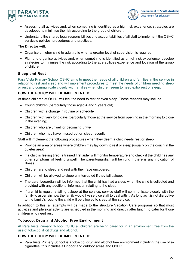



- Assessing all activities and, when something is identified as a high risk experience, strategies are developed to minimise the risk according to the group of children.
- Understand the shared legal responsibilities and accountabilities of all staff to implement the OSHC service's policies, procedures and practices.

#### **The Director will:**

- Organise a higher child to adult ratio when a greater level of supervision is required.
- Plan and organise activities and, when something is identified as a high risk experience, develop strategies to minimise the risk according to the age abilities experience and location of the group of children.

#### **Sleep and Rest**

Para Vista Primary School OSHC aims to meet the needs of all children and families in the service in relation to rest and sleep and will implement procedures to meet the needs of children needing sleep or rest and communicate closely with families when children seem to need extra rest or sleep.

# **HOW THE POLICY WILL BE IMPLEMENTED:**

At times children at OSHC will feel the need to rest or even sleep. These reasons may include:

- Young children (particularly those aged 4 and 5 years old)
- Children with a change in routine or schedule
- Children with very long days (particularly those at the service from opening in the morning to close in the evening)
- Children who are unwell or becoming unwell
- Children who may have missed out on sleep recently

Staff will implement the following procedures when they deem a child needs rest or sleep:

- Provide an area or areas where children may lay down to rest or sleep (usually on the couch in the quieter area)
- If a child is feeling tired, a trained first aider will monitor temperature and check if the child has any other symptoms of feeling unwell. The parent/guardian will be rung if there is any indication of illness.
- Children are to sleep and rest with their face uncovered.
- Children will be allowed to sleep uninterrupted if they fall asleep.
- The parent/guardian will be informed that the child has had a sleep when the child is collected and provided with any additional information relating to the sleep.
- If a child is regularly falling asleep at the service, service staff will communicate closely with the family to ascertain how the family would like service staff to deal with it. As long as it is not disruptive to the family's routine the child will be allowed to sleep at the service.

In addition to this, all attempts will be made to the structure Vacation Care programs so that most activities and physical activity are scheduled in the morning and directly after lunch, to cater for those children who need rest.

#### **Tobacco, Drug and Alcohol Free Environment**

At Para Vista Primary School OSHC all children are being cared for in an environment free from the use of tobacco, illicit drugs and alcohol.

#### **HOW THE POLICY WILL BE IMPLEMENTED:**

• Para Vista Primary School is a tobacco, drug and alcohol free environment including the use of ecigarettes, this includes all indoor and outdoor areas and OSHC.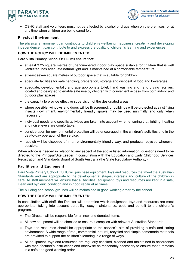



• OSHC staff and volunteers must not be affected by alcohol or drugs when on the premises, or at any time when children are being cared for.

# **Physical Environment**

The physical environment can contribute to children's wellbeing, happiness, creativity and developing independence. It can contribute to and express the quality of children's learning and experiences.

# **HOW THE POLICY WILL BE IMPLEMENTED:**

Para Vista Primary School OSHC will ensure that:

- at least 3.25 square metres of unencumbered indoor play space suitable for children that is well ventilated, has adequate natural light and is maintained at a comfortable temperature.
- at least seven square metres of outdoor space that is suitable for children.
- adequate facilities for safe handling, preparation, storage and disposal of food and beverages.
- adequate, developmentally and age appropriate toilet, hand washing and hand drying facilities, located and designed to enable safe use by children with convenient access from both indoor and outdoor play spaces.
- the capacity to provide effective supervision of the designated areas.
- where possible, windows and doors will be flyscreened, or buildings will be protected against flying insects (low irritant, environmentally friendly sprays may be used minimally and only when necessary).
- individual needs and specific activities are taken into account when ensuring that lighting, heating and noise levels are comfortable.
- consideration for environmental protection will be encouraged in the children's activities and in the day-to-day operation of the service.
- rubbish will be disposed of in an environmentally friendly way, and products recycled whenever possible.

When advice is needed in relation to any aspect of the above listed information, questions need to be directed to the Principal/Site Leader in consultation with the Education and Early Childhood Services Registration and Standards Board of South Australia (the State Regulatory Authority).

# **Facilities and Equipment**

Para Vista Primary School OSHC will purchase equipment, toys and resources that meet the Australian Standards and are appropriate to the developmental stages, interests and culture of the children in care. All staff members will ensure that all facilities, equipment, toys and resources are kept in a safe, clean and hygienic condition and in good repair at all times.

The building and school grounds will be maintained in good working order by the school.

#### **HOW THE POLICY WILL BE IMPLEMENTED:**

In consultation with staff, the Director will determine which equipment, toys and resources are most appropriate, taking into account durability, easy maintenance, cost, and benefit to the children's program.

- The Director will be responsible for all new and donated items.
- All new equipment will be checked to ensure it complies with relevant Australian Standards.
- Toys and resources should be appropriate to the service's aim of providing a safe and caring environment. A wide range of real, commercial, natural, recycled and simple homemade materials are provided to support the children's learning in a range of ways.
- All equipment, toys and resources are regularly checked, cleaned and maintained in accordance with manufacturer's instructions and otherwise as reasonably necessary to ensure that it remains in a safe and good working order.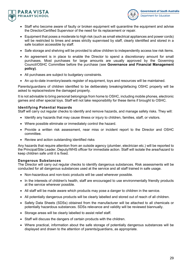



- Staff who become aware of faulty or broken equipment will quarantine the equipment and advise the Director/Certified Supervisor of the need for its replacement or repair.
- Equipment that poses a moderate to high risk (such as small electrical appliances and power cords) will be restricted to times and areas strictly supervised by staff, clearly identified and stored in a safe location accessible by staff.
- Safe storage and shelving will be provided to allow children to independently access low risk items.
- An agreement is in place to enable the Director to spend a discretionary amount for small purchases. Most purchases for large amounts are usually approved by the Governing Council/OSHC Committee before the purchase (see **Governance and Financial Management policy)**.
- All purchases are subject to budgetary constraints.
- An up-to-date inventory/assets register of equipment, toys and resources will be maintained.

Parents/guardians of children identified to be deliberately breaking/defacing OSHC property will be asked to replace/restore the damaged property.

It is not advisable to bring personal belongings from home to OSHC, including mobile phones, electronic games and other special toys. Staff will not take responsibility for these items if brought to OSHC.

#### **Identifying Potential Hazards**

Staff will carry out regular checks to identify and remove hazards, and manage safety risks. They will:

- Identify any hazards that may cause illness or injury to children, families, staff, or visitors.
- Where possible eliminate or immediately control the hazard.
- Provide a written risk assessment, near miss or incident report to the Director and OSHC committee.
- Review and action outstanding identified risks

Any hazards that require attention from an outside agency (plumber, electrician etc.) will be reported to the Principal/Site Leader, Deputy/WHS officer for immediate action. Staff will isolate the area/hazard to keep children safe until it is fixed.

#### **Dangerous Substances**

The Director will carry out regular checks to identify dangerous substances. Risk assessments will be conducted for all dangerous substances used at the service and all staff trained in safe usage.

- Non-hazardous and non-toxic products will be used wherever possible.
- In the interests of children's health, staff are encouraged to use environmentally friendly products at the service wherever possible.
- All staff will be made aware which products may pose a danger to children in the service.
- All potentially dangerous products will be clearly labelled and stored out of reach of all children.
- Safety Data Sheets (SDSs) obtained from the manufacturer will be attached to all chemicals or potentially hazardous substances. SDSs relevance and validity will be reviewed biannually.
- Storage areas will be clearly labelled to assist relief staff.
- Staff will discuss the dangers of certain products with the children.
- Where practical, information about the safe storage of potentially dangerous substances will be displayed and drawn to the attention of parents/guardians, as appropriate.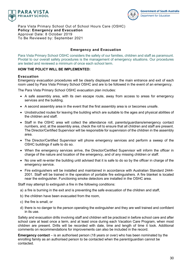



Para Vista Primary School Out of School Hours Care (OSHC) **Policy: Emergency and Evacuation** Approval Date: 8 October 2019 To Be Reviewed by: September 2021

#### **Emergency and Evacuation**

Para Vista Primary School OSHC considers the safety of our families, children and staff as paramount. Pivotal to our overall safety procedures is the management of emergency situations. Our procedures are tested and reviewed a minimum of once each school term.

#### **HOW THE POLICY WILL BE IMPLEMENTED:**

#### **Evacuation**

Emergency evacuation procedures will be clearly displayed near the main entrance and exit of each room used by Para Vista Primary School OSHC and are to be followed in the event of an emergency.

The Para Vista Primary School OSHC evacuation plan includes:

- A safe assembly area, with its own escape route, away from access to areas for emergency services and the building.
- A second assembly area in the event that the first assembly area is or becomes unsafe.
- Unobstructed routes for leaving the building which are suitable to the ages and physical abilities of the children and staff.
- Staff in the OSHC area will collect the attendance roll, parents/guardians/emergency contact numbers, and, at the assembly area, check the roll to ensure that all children and staff are present. The Director/Certified Supervisor will be responsible for supervision of the children in the assembly area.
- The Director/Certified Supervisor will phone emergency services and perform a sweep of the OSHC buildings if safe to do so.
- When the emergency services arrive, the Director/Certified Supervisor will inform the officer in charge of the nature and location of the emergency, and of any missing children or staff.
- No one will re-enter the building until advised that it is safe to do so by the officer in charge of the emergency service.
- Fire extinguishers will be installed and maintained in accordance with Australian Standard 2444- 2001. Staff will be trained in the operation of portable fire extinguishers. A fire blanket is located near the extinguisher. Functioning smoke detectors are installed in the OSHC area.

Staff may attempt to extinguish a fire in the following conditions:

- a) a fire is burning in the exit and is preventing the safe evacuation of the children and staff,
- b) the children have been evacuated from the room,
- c) the fire is small, or
- d) there is no danger to the person operating the extinguisher and they are well trained and confident in its use.

Safety and evacuation drills involving staff and children will be practiced in before school care and after school care at least once a term, and at least once during each Vacation Care Program, when most children are present. Drills will be recorded with date, time and length of time it took. Additional comments on recommendations for improvements can also be included in the record.

**Emergency contact** – is an authorised person (18 years or over) who has been nominated by the enrolling family as an authorised person to be contacted when the parent/guardian cannot be contacted.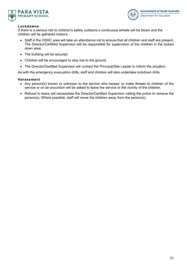



# **Lockdowns**

If there is a serious risk to children's safety outdoors a continuous whistle will be blown and the children will be gathered indoors.

- Staff in the OSHC area will take an attendance roll to ensure that all children and staff are present. The Director/Certified Supervisor will be responsible for supervision of the children in the locked down area.
- The building will be secured.
- Children will be encouraged to stay low to the ground.
- The Director/Certified Supervisor will contact the Principal/Site Leader to inform the situation.

As with the emergency evacuation drills, staff and children will also undertake lockdown drills.

#### **Harassment**

- Any person(s) known or unknown to the service who harass' or make threats to children of the service or on an excursion will be asked to leave the service or the vicinity of the children.
- Refusal to leave will necessitate the Director/Certified Supervisor calling the police to remove the person(s). Where possible, staff will move the children away from the person(s).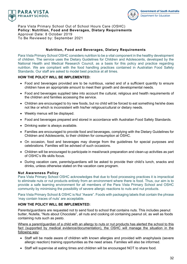



Para Vista Primary School Out of School Hours Care (OSHC) **Policy: Nutrition, Food and Beverages, Dietary Requirements** Approval Date: 8 October 2019 To Be Reviewed by: September 2021

#### **Nutrition, Food and Beverages, Dietary Requirements**

Para Vista Primary School OSHC considers nutrition to be a vital component in the healthy development of children. The service uses the Dietary Guidelines for Children and Adolescents, developed by the National Health and Medical Research Council, as a basis for this policy and practice regarding nutrition. We are compliant with the food handling practices contained in Australian Food Safety Standards. Our staff are asked to model best practice at all times.

# **HOW THE POLICY WILL BE IMPLEMENTED:**

- Food and beverages provided are to be nutritious, varied and of a sufficient quantity to ensure children have an appropriate amount to meet their growth and developmental needs.
- Food and beverages supplied take into account the cultural, religious and health requirements of the children and families accessing the service.
- Children are encouraged to try new foods, but no child will be forced to eat something he/she does not like or which is inconsistent with his/her religious/cultural or dietary needs.
- Weekly menus will be displayed.
- Food and beverages prepared and stored in accordance with Australian Food Safety Standards.
- Drinking water is always available.
- Families are encouraged to provide food and beverages, complying with the Dietary Guidelines for Children and Adolescents, to their children for consumption at OSHC.
- On occasion, food and beverages may diverge from the guidelines for special purposes and celebrations. Families will be advised of such occasions.
- Children will be encouraged to participate in meal/snack preparation and clean-up activities as part of OSHC's life skills focus.
- During vacation care, parents/guardians will be asked to provide their child's lunch, snacks and drinks, unless otherwise stated on the vacation care program.

#### **Nut Awareness Policy**

Para Vista Primary School OSHC acknowledges that due to food processing practices it is impractical to eliminate nuts or nut products entirely from an environment where there is food. Thus, our aim is to provide a safe learning environment for all members of the Para Vista Primary School and OSHC community by minimising the possibility of severe allergic reactions to nuts and nut products.

Para Vista Primary School & OSHC is Nut "Aware". Foods with packaging labels that contain the phrase 'may contain traces of nuts' are acceptable.

#### **HOW THE POLICY WILL BE IMPLEMENTED:**

Parents/guardians are requested not to send food to school that contains nuts. This includes peanut butter, Nutella, "Nuts about Chocolate", all nuts and cooking oil containing peanut oil, as well as foods containing nuts such as pesto.

Where a parent/guardian of a child with an allergy to nuts or nut products has alerted the school to this fact (supported by medical evidence/documentation), the OSHC will manage the situation in the following way:

- Staff will be made aware of children with known allergies and provided with anaphylaxis (severe allergic reaction) training opportunities as the need arises. Families will also be informed.
- Staff will supervise at eating times and children will be encouraged NOT to share food.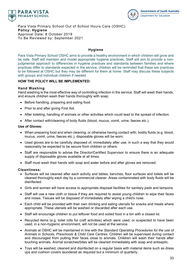



Para Vista Primary School Out of School Hours Care (OSHC) **Policy: Hygiene** Approval Date: 8 October 2019 To Be Reviewed by: September 2021

# **Hygiene**

Para Vista Primary School OSHC aims to provide a healthy environment in which children will grow and be safe. Staff will maintain and model appropriate hygiene practices. Staff will aim to provide a nonjudgmental approach to differences in hygiene practices and standards between families and where practices differ to standards expected in the service, children will be reminded that these are practices to be followed at OSHC but they may be different for them at home. Staff may discuss these subjects with groups and individual children if needed.

# **HOW THE POLICY WILL BE IMPLEMENTED:**

# **Hand Washing**

Hand washing is the most effective way of controlling infection in the service. Staff will wash their hands, and ensure children wash their hands thoroughly with soap:

- Before handling, preparing and eating food.
- Prior to and after giving First Aid.
- After toileting, handling of animals or other activities which could lead to the spread of infection.
- After contact with/cleaning of body fluids (blood, mucus, vomit, urine, faeces etc.).

#### **Use of Gloves:**

- When preparing food and when cleaning, or otherwise having contact with, bodily fluids (e.g. blood, mucus, vomit, urine, faeces etc.), disposable gloves will be worn.
- Used gloves are to be carefully disposed of, immediately after use, in such a way that they would reasonably be expected to be secure from children or others.
- Staff are responsible to advise the Director/Certified Supervisor to ensure there is an adequate supply of disposable gloves available at all times.
- Staff must wash their hands with soap and water before and after gloves are removed.

#### **Cleanliness:**

- Surfaces will be cleaned after each activity and tables, benches, floor surfaces and toilets will be cleaned thoroughly each day by a commercial cleaner. Areas contaminated with body fluids will be disinfected.
- Girls and women will have access to appropriate disposal facilities for sanitary pads and tampons.
- Staff will use a new cloth or tissue if they are required to assist young children to wipe their faces and noses. Tissues will be disposed of immediately after wiping a child's nose.
- Each child will be provided with their own drinking and eating utensils for snacks and meals where appropriate. These utensils will be washed or discarded after each use.
- Staff will encourage children to put leftover food and soiled food in a bin with a closed lid.
- Recycled items (e.g. toilet rolls for craft activities) which were used, or suspected to have been used, in a non-hygienic environment, will not be used at the service.
- Animals at OSHC will be maintained in line with the *Standard Operating Procedures for the use of Animals in Schools, Preschools & Child Care Centres*. Children will be supervised during contact and discouraged from putting their faces close to animals. Children will wash their hands after touching animals. Animal scratches/bites will be cleaned immediately with soap and antiseptic.
- Toys will be washed, cleaned and disinfected on a regular basis with material items such as dress ups and cushion covers laundered as required but a minimum of quarterly.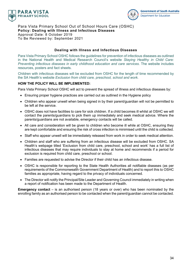



Para Vista Primary School Out of School Hours Care (OSHC) **Policy: Dealing with Illness and Infectious Diseases** Approval Date: 8 October 2019 To Be Reviewed by: September 2021

#### **Dealing with Illness and Infectious Diseases**

Para Vista Primary School OSHC follows the guidelines for prevention of infectious diseases as outlined in the National Health and Medical Research Council's website *Staying Healthy in Child Care: Preventing infectious diseases in early childhood education and care services*. The website includes resources, posters and fact sheets.

Children with infectious diseases will be excluded from OSHC for the length of time recommended by the SA Health's website *Exclusion from child care, preschool, school and work*.

# **HOW THE POLICY WILL BE IMPLEMENTED:**

Para Vista Primary School OSHC will act to prevent the spread of illness and infectious diseases by:

- Ensuring proper hygiene practices are carried out as outlined in the Hygiene policy
- Children who appear unwell when being signed in by their parent/guardian will not be permitted to be left at the service.
- OSHC does not have facilities to care for sick children. If a child becomes ill whilst at OSHC we will contact the parents/guardians to pick them up immediately and seek medical advice. Where the parents/guardians are not available, emergency contacts will be called.
- All care and consideration will be given to children who become ill while at OSHC, ensuring they are kept comfortable and ensuring the risk of cross infection is minimised until the child is collected.
- Staff who appear unwell will be immediately released from work in order to seek medical attention.
- Children and staff who are suffering from an infectious disease will be excluded from OSHC. SA Health's webpage titled 'Exclusion from child care, preschool, school and work' has a full list of infectious diseases that may require individuals to stay at home and recommends if a period for exclusion is required from child care, preschool or school.
- Families are requested to advise the Director if their child has an infectious disease.
- OSHC is responsible for reporting to the State Health Authorities all notifiable diseases (as per requirements of the Commonwealth Government Department of Health) and to report this to OSHC families as appropriate, having regard to the privacy of individuals concerned.
- The Director will notify the Principal/Site Leader and Governing Council immediately in writing when a report of notification has been made to the Department of Health.

**Emergency contact** – is an authorised person (18 years or over) who has been nominated by the enrolling family as an authorised person to be contacted when the parent/guardian cannot be contacted.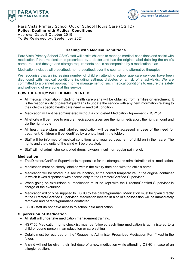



Para Vista Primary School Out of School Hours Care (OSHC) **Policy: Dealing with Medical Conditions** Approval Date: 8 October 2019 To Be Reviewed by: September 2021

#### **Dealing with Medical Conditions**

Para Vista Primary School OSHC staff will assist children to manage medical conditions and assist with medication if that medication is prescribed by a doctor and has the original label detailing the child's name, required dosage and storage requirements and is accompanied by a medication plan.

Medication includes all prescribed, non-prescribed, over the counter and alternative therapies.

We recognise that an increasing number of children attending school age care services have been diagnosed with medical conditions including asthma, diabetes or a risk of anaphylaxis. We are committed to a planned approach to the management of such medical conditions to ensure the safety and well-being of everyone at this service.

#### **HOW THE POLICY WILL BE IMPLEMENTED:**

- All medical information including health care plans will be obtained from families on enrolment. It is the responsibility of parents/guardians to update the service with any new information relating to their child's specific health care need or medical condition.
- Medication will not be administered without a completed Medication Agreement HSP151.
- All efforts will be made to ensure medications given are the right medication, the right amount and via the right route.
- All health care plans and labelled medication will be easily accessed in case of the need for treatment. Children will be identified by a photo kept in the folder.
- Staff will be informed of medical conditions and required treatment of children in their care. The rights and the dignity of the child will be protected.
- Staff will not administer controlled drugs, oxygen, insulin or regular pain relief.

#### **Medication**

- The Director/Certified Supervisor is responsible for the storage and administration of all medication.
- Medication must be clearly labelled within the expiry date and with the child's name.
- Medication will be stored in a secure location, at the correct temperature, in the original container in which it was dispensed with access only to the Director/Certified Supervisor.
- When going on excursions all medication must be kept with the Director/Certified Supervisor in charge of the excursion.
- Medication will only be supplied to OSHC by the parent/guardian. Medication must be given directly to the Director/Certified Supervisor. Medication located in a child's possession will be immediately removed and parents/guardians contacted.
- OSHC staff do not have access to school held medication.

#### **Supervision of Medication**

- All staff will undertake medication management training.
- HSP156 Medication rights checklist must be followed each time medication is administered to a child or young person in an education or care setting
- Details must be recorded on the "Request to Administer Prescribed Medication Form" kept in the folder.
- A child will not be given their first dose of a new medication while attending OSHC in case of an allergic reaction.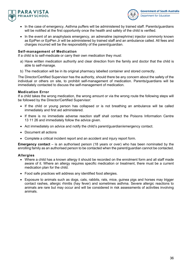



- In the case of emergency, Asthma puffers will be administered by trained staff. Parents/guardians will be notified at the first opportunity once the health and safety of the child is verified.
- In the event of an anaphylaxis emergency, an adrenaline (epinephrine) injector commonly known as EpiPen or EpiPen Jr will be administered by trained staff and an ambulance called. All fees and charges incurred will be the responsibility of the parent/guardian.

#### **Self-management of Medication**

If a child is to self-medicate or carry their own medication they must:

- a) Have written medication authority and clear direction from the family and doctor that the child is able to self-manage.
- b) The medication will be in its original pharmacy labelled container and stored correctly.

The Director/Certified Supervisor has the authority, should there be any concern about the safety of the individual or others on site, to prohibit self-management of medication. Parents/guardians will be immediately contacted to discuss the self-management of medication.

#### **Medication Error**

If a child takes the wrong medication, the wrong amount or via the wrong route the following steps will be followed by the Director/Certified Supervisor:

- If the child or young person has collapsed or is not breathing an ambulance will be called immediately and first aid administered.
- If there is no immediate adverse reaction staff shall contact the Poisons Information Centre 13 11 26 and immediately follow the advice given.
- Act immediately on advice and notify the child's parent/guardian/emergency contact.
- Document all actions
- Complete a critical incident report and an accident and injury report form.

**Emergency contact** – is an authorised person (18 years or over) who has been nominated by the enrolling family as an authorised person to be contacted when the parent/guardian cannot be contacted.

#### **Allergies**

- Where a child has a known allergy it should be recorded on the enrolment form and all staff made aware of it. Where an allergy requires specific medication or treatment, there must be a current medication plan for the child.
- Food safe practices will address any identified food allergies.
- Exposure to animals such as dogs, cats, rabbits, rats, mice, guinea pigs and horses may trigger contact rashes, allergic rhinitis (hay fever) and sometimes asthma. Severe allergic reactions to animals are rare but may occur and will be considered in risk assessments of activities involving animals.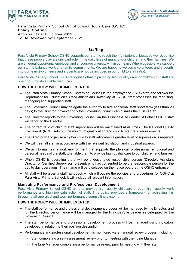



Para Vista Primary School Out of School Hours Care (OSHC) **Policy: Staffing** Approval Date: 8 October 2019 To Be Reviewed by: September 2021

# **Staffing**

Para Vista Primary School OSHC supports our staff to reach their full potential because we recognise that these people play a significant role in the daily lives of many of our children and their families. We are an equal opportunity employer and encourage diversity within our team. Where possible, we support our staff to balance work and family commitments. We are happy to welcome volunteers and students into our team (volunteers and students are not be included in our child to staff ratio).

Para Vista Primary School OSHC recognises that in providing high quality care for children our staff are one of our most valuable resources.

# **HOW THE POLICY WILL BE IMPLEMENTED:**

- The Para Vista Primary School Governing Council is the employer of OSHC staff and follows the Department for Education's *Recruitment and suitability of OSHC staff* processes for recruiting, managing and supporting staff.
- The Governing Council may delegate the authority to hire additional staff short term (less than 20 days) to the Director, however only the Governing Council can dismiss the OSHC staff.
- The Director reports to the Governing Council via the Principal/Site Leader. All other OSHC staff will report to the Director.
- The correct ratio of child to staff supervision will be maintained at all times. The National Quality Framework (NQF) sets out the minimum qualification and child to staff ratio requirements.
- The Director will organise a higher child to staff ratio when a greater level of supervision is required.
- We will treat all staff in accordance with the relevant legislation and industrial awards.
- We aim to maintain a work environment that supports the physical, professional, emotional and personal needs of the staff, to enable them to provide high quality care to our children and families.
- When OSHC is operating there will be a designated responsible person (Director, Assistant Director or Certified Supervisor) present, who has consented to be the responsible person for the day to day operations. Their name will be displayed on the notice board at the OSHC entrance.
- All staff will be given a staff handbook which will outline the policies and procedures for OSHC at Para Vista Primary School. It will include all relevant information.

#### **Managing Performance and Professional Development**

Para Vista Primary School OSHC aims to provide high quality childcare through high quality work performance and high job satisfaction of staff. This policy provides a framework for achieving this through staff appraisal and work performance counselling systems.

#### **HOW THE POLICY WILL BE IMPLEMENTED**

- The staff performance and professional development process will be managed by the Director, and for the Director, performance will be managed by the Principal/Site Leader as delegated by the Governing Council.
- The staff performance and professional development process will be managed using indicators developed in relation to their position description.
- Performance and professional development is monitored via an annual review process, including:
	- Staff completing a self-assessment review prior to meeting with their Line Manager.
	- The Line Manager completing a performance review prior to meeting with their staff.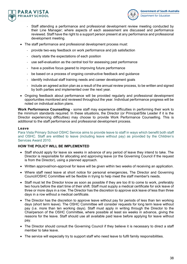



- Staff attending a performance and professional development review meeting conducted by their Line Manager; where aspects of each assessment are discussed and performance reviewed. Staff have the right to a support person present at any performance and professional development meeting.
- The staff performance and professional development process must:
	- provide two-way feedback on work performance and job satisfaction
	- clearly state the expectations of each position
	- use self-evaluation as the central tool for assessing past performance
	- have a positive focus geared to improving future performance
	- be based on a process of ongoing constructive feedback and guidance
	- identify individual staff training needs and career development goals
	- include an agreed action plan as a result of the annual review process, to be written and signed by both parties and implemented over the next year.
- Ongoing feedback about performance will be provided regularly and professional development opportunities monitored and reviewed throughout the year. Individual performance progress will be noted on individual action plans.

**Work Performance Counselling** - some staff may experience difficulties in performing their work to the minimum standards required. In these situations, the Director (or Principal/Site Leader if it is the Director experiencing difficulties) may choose to provide Work Performance Counselling. This is additional to the staff performance and professional development process.

# **Leave**

Para Vista Primary School OSHC Service aims to provide leave to staff in ways which benefit both staff and OSHC. Staff are entitled to leave (including leave without pay) as provided by the Children's Services Award 2010.

# **HOW THE POLICY WILL BE IMPLEMENTED**

- Staff should apply for leave six weeks in advance of any period of leave they intend to take. The Director is responsible for allocating and approving leave (or the Governing Council if the request is from the Director), using a planned approach.
- Written approval/non-approval for leave will be given within two weeks of receiving an application.
- Where staff need leave at short notice for personal emergencies, The Director and Governing Council/OSHC Committee will be flexible in trying to help meet the staff member's needs.
- Staff must let the Director know as soon as possible if they are too ill to come to work, preferably two hours before the start time of their shift. Staff must supply a medical certificate for sick leave of three or more days in a row. The Director has the discretion to approve sick leave of less than three days in a row without a medical certificate.
- The Director has the discretion to approve leave without pay for periods of less than ten working days (short term leave). The OSHC Committee will consider requests for long term leave without pay (i.e. more than ten working days). Staff must apply in writing through the Director to the Chairperson of the OSHC Committee, where possible at least six weeks in advance, giving the reasons for the leave. Staff should use all available paid leave before applying for leave without pay.
- The Director should consult the Governing Council if they believe it is necessary to direct a staff member to take leave.
- The service will especially try to support staff who need leave to fulfil family responsibilities.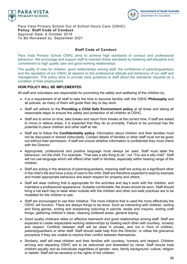



Para Vista Primary School Out of School Hours Care (OSHC) **Policy: Staff Code of Conduct** Approval Date: 8 October 2019 To Be Reviewed by: September 2021

#### **Staff Code of Conduct**

Para Vista Primary School OSHC aims to achieve high standards of conduct and professional behaviour. We encourage and support staff to maintain these standards by fostering self-discipline and commitment to high quality care and good working relationships.

The quality of care for children, good relationships among staff, the confidence of parents/guardians and the reputation of our OSHC all depend on the professional attitude and behaviour of our staff and management. This policy aims to provide clear guidance to staff about the standards required as a condition of their employment.

#### **HOW POLICY WILL BE IMPLEMENTED**

All staff and volunteers are responsible for promoting the safety and wellbeing of the children by:

- It is a requirement of all staff to take the time to become familiar with the OSHC **Philosophy** and all policies, as many of them will guide their day to day work.
- Staff will adhere to the **Providing a Child Safe Environment policy** at all times and taking all reasonable steps to ensure the safety and protection of all children at OSHC.
- Staff are to arrive on time, take breaks and return from breaks at the correct time. If staff are asked to move or relieve areas, it is expected that they do so promptly. Failure to be punctual has the potential to place children and other staff at risk.
- Staff are to follow the **Confidentiality policy**. Information about children and their families must not be discussed or shared indiscreetly. Contact details of families or other staff must not be given out without their permission. If staff are unsure whether information is confidential they must check with the Director.
- Appropriate, professional and positive language must always be used. Staff must label the behaviour, not the child. For example, "That was a silly thing to do", not "You are a silly child". Staff will not use language which will offend other staff or families, especially within hearing range of the children.
- Staff are acting in the absence of parents/guardians, meaning staff are acting as a significant other in the child's life and have a duty of care to the child. Staff are therefore expected to lead by example and model appropriate behaviour and teach respect for property and others.
- Staff will wear clothing that is appropriate for the activities and day's work with the children, and maintains a professional appearance. Suitable comfortable, flat shoes should be worn. Staff should bring a hat each day to wear when outside with the children and other sun-safe practices are to be modelled for the children to see.
- Staff are encouraged to use their initiative. The more initiative that is used the more effectively the OSHC will function. There are always things to be done. Such as interacting with children, sorting and fixing games, sorting and sharpening colouring in pencils, textas and crayons, sorting craft things, gathering children's ideas, cleaning cluttered areas, general tidying.
- Good quality childcare relies on effective teamwork and good relationships among staff. Staff are expected to create respectable working relationships by treating each other with courtesy, honesty and respect. Conflicts between staff will be aired in private, and not in front of children, parents/guardians or other staff. Staff should seek help from the Director, or utilise the grievance procedure if they are unable to resolve their conflict between themselves.
- Similarly, staff will treat children and their families with courtesy, honesty and respect. Children arriving and departing OSHC are to be welcomed and farewelled by name. Staff should treat children equally and as individuals regardless of gender, race, family background, culture, religion or beliefs. Staff will be sensitive to the rights of the children.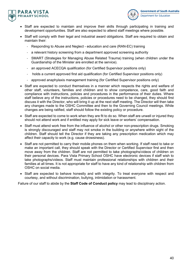



- Staff are expected to maintain and improve their skills through participating in training and development opportunities. Staff are also expected to attend staff meetings where possible.
- Staff will comply with their legal and industrial award obligations. Staff are required to obtain and maintain their:
	- Responding to Abuse and Neglect education and care (RAN-EC) training
	- a relevant history screening from a department approved screening authority
	- SMART (Strategies for Managing Abuse Related Trauma) training (when children under the Guardianship of the Minister are enrolled at the service).
	- an approved ACECQA qualification (for Certified Supervisor positions only)
	- holds a current approved first aid qualification (for Certified Supervisor positions only)
	- approved anaphylaxis management training (for Certified Supervisor positions only)
- Staff are expected to conduct themselves in a manner which respects the rights and welfare of other staff, volunteers, families and children and to show competence, care, good faith and compliance with instructions, policies and procedures in the performance of their duties. Where staff believe any of the instructions, policies or procedures need to be changed, they should first discuss it with the Director, who will bring it up at the next staff meeting. The Director will then take any changes made to the OSHC Committee and then to the Governing Council meetings. While changes are being ratified, staff should follow the existing policy or procedure.
- Staff are expected to come to work when they are fit to do so. When staff are unwell or injured they should not attend work and if entitled may apply for sick leave or workers' compensation.
- Staff must attend work free from the influence of alcohol or other non-prescription drugs. Smoking is strongly discouraged and staff may not smoke in the building or anywhere within sight of the children. Staff should tell the Director if they are taking any prescription medication which may affect their capacity to work (e.g. cause drowsiness).
- Staff are not permitted to carry their mobile phones on them when working. If staff need to take or make an important call, they should speak with the Director or Certified Supervisor first and then move away from the children. Staff are not permitted to take photographs/videos of children on their personal devices. Para Vista Primary School OSHC have electronic devices if staff wish to take photographs/videos. Staff must maintain professional relationships with children and their families at all times. It is not appropriate for staff to have any kind of relationship with children from OSHC on social media.
- Staff are expected to behave honestly and with integrity. To treat everyone with respect and courtesy, and without discrimination, bullying, intimidation or harassment.

Failure of our staff to abide by the **Staff Code of Conduct policy** may lead to disciplinary action.